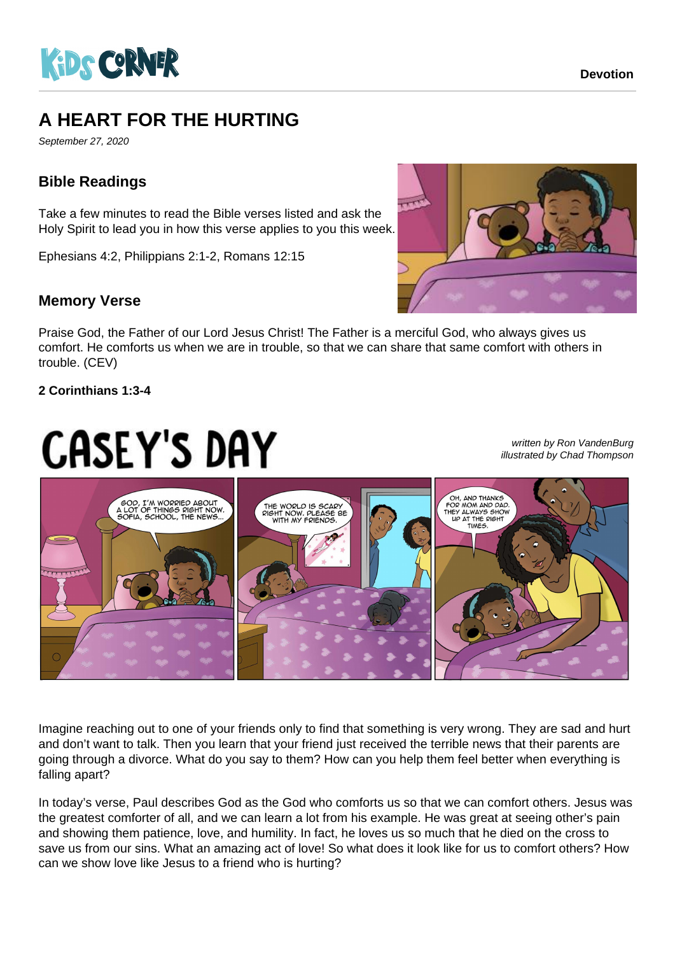

## **A HEART FOR THE HURTING**

September 27, 2020

#### **Bible Readings**

Take a few minutes to read the Bible verses listed and ask the Holy Spirit to lead you in how this verse applies to you this week.

Ephesians 4:2, Philippians 2:1-2, Romans 12:15

#### **Memory Verse**

Praise God, the Father of our Lord Jesus Christ! The Father is a merciful God, who always gives us comfort. He comforts us when we are in trouble, so that we can share that same comfort with others in trouble. (CEV)

#### **2 Corinthians 1:3-4**

# **CASEY'S DAY**

written by Ron VandenBurg illustrated by Chad Thompson



Imagine reaching out to one of your friends only to find that something is very wrong. They are sad and hurt and don't want to talk. Then you learn that your friend just received the terrible news that their parents are going through a divorce. What do you say to them? How can you help them feel better when everything is falling apart?

In today's verse, Paul describes God as the God who comforts us so that we can comfort others. Jesus was the greatest comforter of all, and we can learn a lot from his example. He was great at seeing other's pain and showing them patience, love, and humility. In fact, he loves us so much that he died on the cross to save us from our sins. What an amazing act of love! So what does it look like for us to comfort others? How can we show love like Jesus to a friend who is hurting?